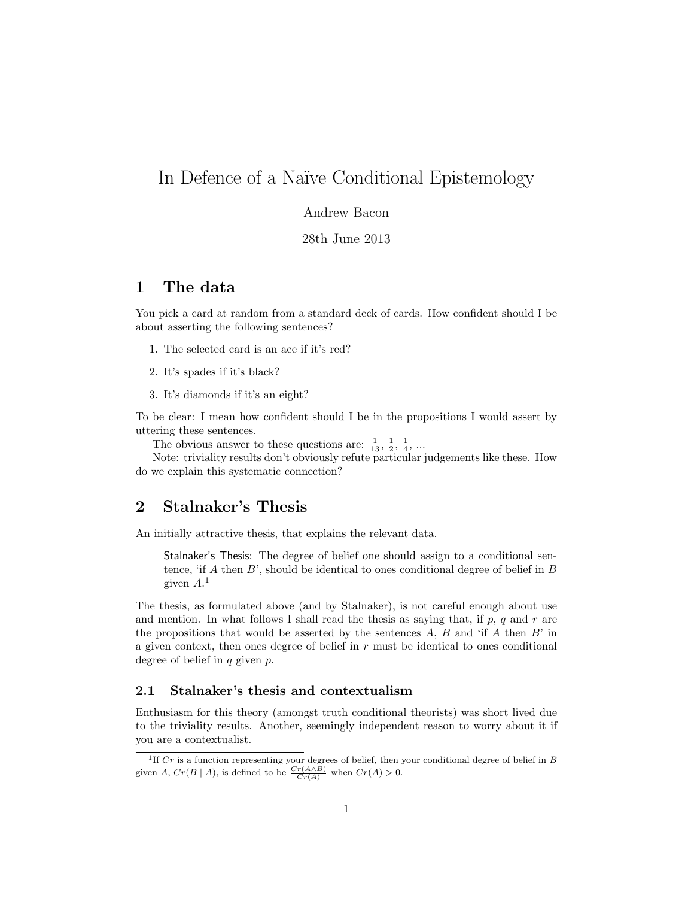# In Defence of a Naïve Conditional Epistemology

### Andrew Bacon

### 28th June 2013

## 1 The data

You pick a card at random from a standard deck of cards. How confident should I be about asserting the following sentences?

- 1. The selected card is an ace if it's red?
- 2. It's spades if it's black?
- 3. It's diamonds if it's an eight?

To be clear: I mean how confident should I be in the propositions I would assert by uttering these sentences.

The obvious answer to these questions are:  $\frac{1}{13}$ ,  $\frac{1}{2}$ ,  $\frac{1}{4}$ , ...

Note: triviality results don't obviously refute particular judgements like these. How do we explain this systematic connection?

# 2 Stalnaker's Thesis

An initially attractive thesis, that explains the relevant data.

Stalnaker's Thesis: The degree of belief one should assign to a conditional sentence, 'if A then  $B$ ', should be identical to ones conditional degree of belief in  $B$ given A. 1

The thesis, as formulated above (and by Stalnaker), is not careful enough about use and mention. In what follows I shall read the thesis as saying that, if  $p, q$  and r are the propositions that would be asserted by the sentences  $A, B$  and 'if  $A$  then  $B$ ' in a given context, then ones degree of belief in  $r$  must be identical to ones conditional degree of belief in  $q$  given  $p$ .

### 2.1 Stalnaker's thesis and contextualism

Enthusiasm for this theory (amongst truth conditional theorists) was short lived due to the triviality results. Another, seemingly independent reason to worry about it if you are a contextualist.

<sup>&</sup>lt;sup>1</sup>If Cr is a function representing your degrees of belief, then your conditional degree of belief in B given A,  $Cr(B \mid A)$ , is defined to be  $\frac{Cr(A \wedge B)}{Cr(A)}$  when  $Cr(A) > 0$ .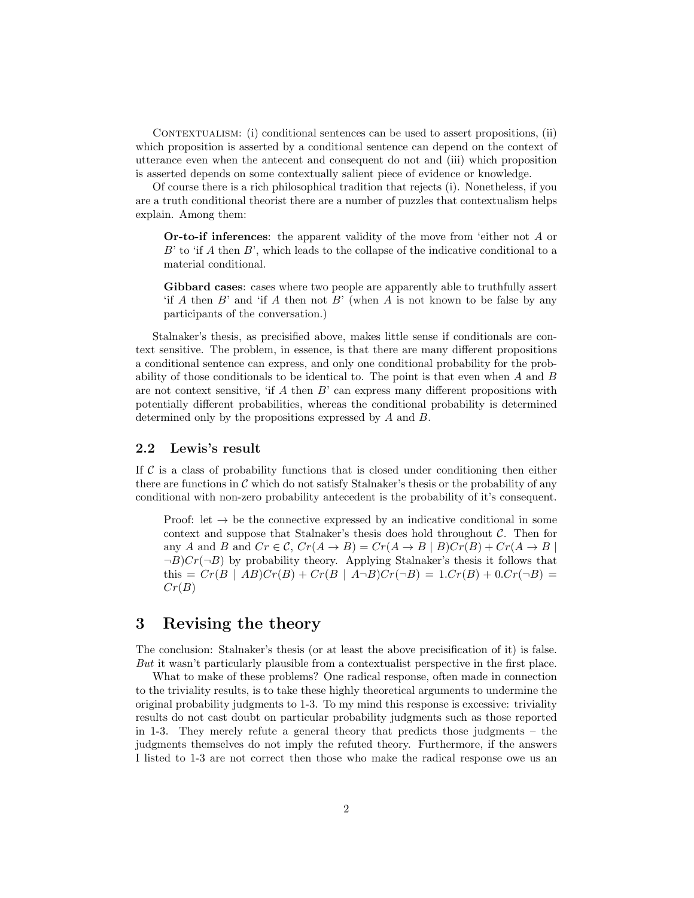CONTEXTUALISM: (i) conditional sentences can be used to assert propositions, (ii) which proposition is asserted by a conditional sentence can depend on the context of utterance even when the antecent and consequent do not and (iii) which proposition is asserted depends on some contextually salient piece of evidence or knowledge.

Of course there is a rich philosophical tradition that rejects (i). Nonetheless, if you are a truth conditional theorist there are a number of puzzles that contextualism helps explain. Among them:

Or-to-if inferences: the apparent validity of the move from 'either not A or  $B'$  to 'if A then  $B'$ ', which leads to the collapse of the indicative conditional to a material conditional.

Gibbard cases: cases where two people are apparently able to truthfully assert 'if A then  $B'$  and 'if A then not  $B'$  (when A is not known to be false by any participants of the conversation.)

Stalnaker's thesis, as precisified above, makes little sense if conditionals are context sensitive. The problem, in essence, is that there are many different propositions a conditional sentence can express, and only one conditional probability for the probability of those conditionals to be identical to. The point is that even when A and B are not context sensitive, 'if  $A$  then  $B$ ' can express many different propositions with potentially different probabilities, whereas the conditional probability is determined determined only by the propositions expressed by A and B.

#### 2.2 Lewis's result

If  $\mathcal C$  is a class of probability functions that is closed under conditioning then either there are functions in  $\mathcal C$  which do not satisfy Stalnaker's thesis or the probability of any conditional with non-zero probability antecedent is the probability of it's consequent.

Proof: let  $\rightarrow$  be the connective expressed by an indicative conditional in some context and suppose that Stalnaker's thesis does hold throughout  $C$ . Then for any A and B and  $Cr \in \mathcal{C}$ ,  $Cr(A \rightarrow B) = Cr(A \rightarrow B \mid B)Cr(B) + Cr(A \rightarrow B \mid B)$  $\neg B)Cr(\neg B)$  by probability theory. Applying Stalnaker's thesis it follows that this =  $Cr(B | AB)Cr(B) + Cr(B | A\neg B)Cr(\neg B) = 1.Cr(B) + 0.Cr(\neg B)$  =  $Cr(B)$ 

# 3 Revising the theory

The conclusion: Stalnaker's thesis (or at least the above precisification of it) is false.  $But$  it wasn't particularly plausible from a contextualist perspective in the first place.

What to make of these problems? One radical response, often made in connection to the triviality results, is to take these highly theoretical arguments to undermine the original probability judgments to 1-3. To my mind this response is excessive: triviality results do not cast doubt on particular probability judgments such as those reported in 1-3. They merely refute a general theory that predicts those judgments – the judgments themselves do not imply the refuted theory. Furthermore, if the answers I listed to 1-3 are not correct then those who make the radical response owe us an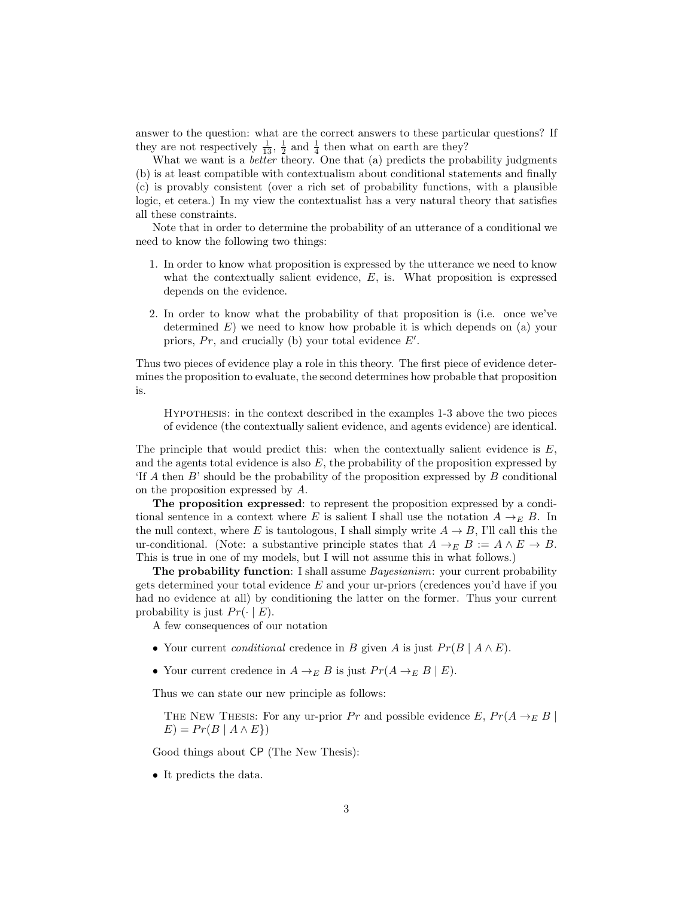answer to the question: what are the correct answers to these particular questions? If they are not respectively  $\frac{1}{13}$ ,  $\frac{1}{2}$  and  $\frac{1}{4}$  then what on earth are they?

What we want is a *better* theory. One that (a) predicts the probability judgments (b) is at least compatible with contextualism about conditional statements and finally (c) is provably consistent (over a rich set of probability functions, with a plausible logic, et cetera.) In my view the contextualist has a very natural theory that satisfies all these constraints.

Note that in order to determine the probability of an utterance of a conditional we need to know the following two things:

- 1. In order to know what proposition is expressed by the utterance we need to know what the contextually salient evidence,  $E$ , is. What proposition is expressed depends on the evidence.
- 2. In order to know what the probability of that proposition is (i.e. once we've determined  $E$ ) we need to know how probable it is which depends on (a) your priors,  $Pr$ , and crucially (b) your total evidence  $E'$ .

Thus two pieces of evidence play a role in this theory. The first piece of evidence determines the proposition to evaluate, the second determines how probable that proposition is.

Hypothesis: in the context described in the examples 1-3 above the two pieces of evidence (the contextually salient evidence, and agents evidence) are identical.

The principle that would predict this: when the contextually salient evidence is  $E$ , and the agents total evidence is also  $E$ , the probability of the proposition expressed by If A then  $B'$  should be the probability of the proposition expressed by  $B$  conditional on the proposition expressed by A.

The proposition expressed: to represent the proposition expressed by a conditional sentence in a context where E is salient I shall use the notation  $A \rightarrow_E B$ . In the null context, where E is tautologous, I shall simply write  $A \rightarrow B$ , I'll call this the ur-conditional. (Note: a substantive principle states that  $A \to_E B := A \wedge E \to B$ . This is true in one of my models, but I will not assume this in what follows.)

**The probability function**: I shall assume *Bayesianism*: your current probability gets determined your total evidence  $E$  and your ur-priors (credences you'd have if you had no evidence at all) by conditioning the latter on the former. Thus your current probability is just  $Pr(\cdot | E)$ .

A few consequences of our notation

- Your current *conditional* credence in B given A is just  $Pr(B \mid A \wedge E)$ .
- Your current credence in  $A \to_E B$  is just  $Pr(A \to_E B \mid E)$ .

Thus we can state our new principle as follows:

THE NEW THESIS: For any ur-prior Pr and possible evidence E,  $Pr(A \rightarrow_{E} B |$  $E$ ) =  $Pr(B | A \wedge E)$ 

Good things about CP (The New Thesis):

• It predicts the data.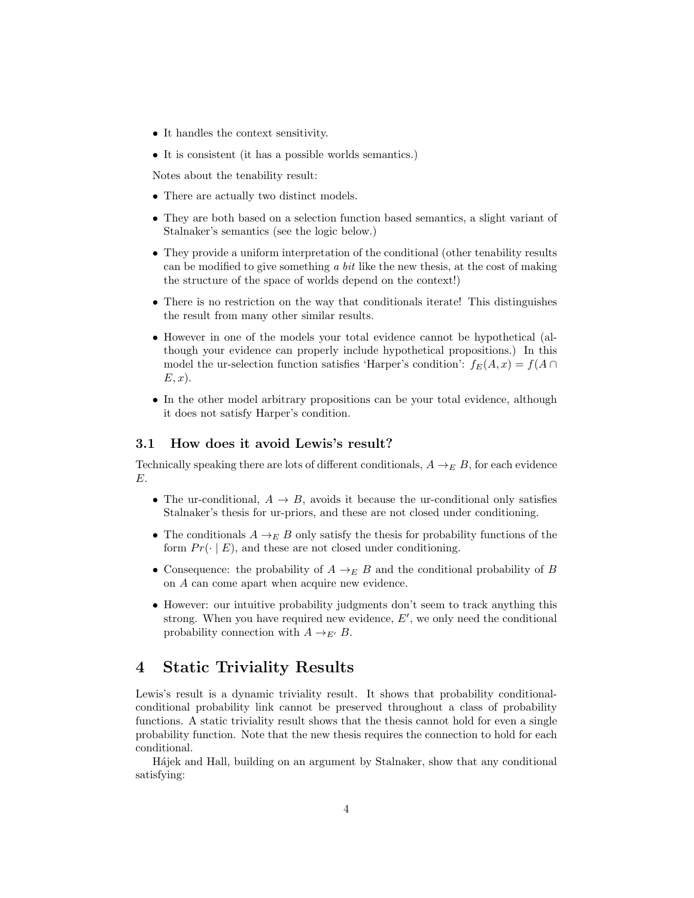- It handles the context sensitivity.
- It is consistent (it has a possible worlds semantics.)

Notes about the tenability result:

- There are actually two distinct models.
- They are both based on a selection function based semantics, a slight variant of Stalnaker's semantics (see the logic below.)
- They provide a uniform interpretation of the conditional (other tenability results can be modified to give something  $\alpha$  bit like the new thesis, at the cost of making the structure of the space of worlds depend on the context!)
- There is no restriction on the way that conditionals iterate! This distinguishes the result from many other similar results.
- However in one of the models your total evidence cannot be hypothetical (although your evidence can properly include hypothetical propositions.) In this model the ur-selection function satisfies 'Harper's condition':  $f_E(A, x) = f(A \cap$  $E, x$ ).
- In the other model arbitrary propositions can be your total evidence, although it does not satisfy Harper's condition.

### 3.1 How does it avoid Lewis's result?

Technically speaking there are lots of different conditionals,  $A \rightarrow_E B$ , for each evidence E.

- The ur-conditional,  $A \rightarrow B$ , avoids it because the ur-conditional only satisfies Stalnaker's thesis for ur-priors, and these are not closed under conditioning.
- The conditionals  $A \rightarrow_E B$  only satisfy the thesis for probability functions of the form  $Pr(\cdot | E)$ , and these are not closed under conditioning.
- Consequence: the probability of  $A \rightarrow_E B$  and the conditional probability of B on A can come apart when acquire new evidence.
- However: our intuitive probability judgments don't seem to track anything this strong. When you have required new evidence,  $E'$ , we only need the conditional probability connection with  $A \rightarrow_{E'} B$ .

# 4 Static Triviality Results

Lewis's result is a dynamic triviality result. It shows that probability conditionalconditional probability link cannot be preserved throughout a class of probability functions. A static triviality result shows that the thesis cannot hold for even a single probability function. Note that the new thesis requires the connection to hold for each conditional.

Hájek and Hall, building on an argument by Stalnaker, show that any conditional satisfying: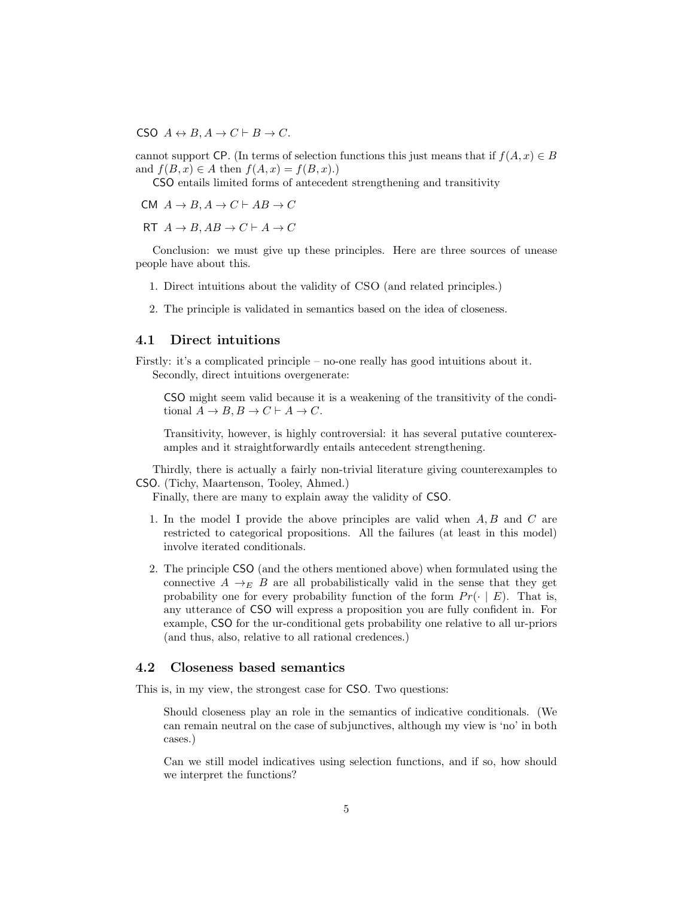CSO  $A \leftrightarrow B, A \to C \vdash B \to C$ .

cannot support CP. (In terms of selection functions this just means that if  $f(A, x) \in B$ and  $f(B, x) \in A$  then  $f(A, x) = f(B, x)$ .

CSO entails limited forms of antecedent strengthening and transitivity

CM  $A \to B$ ,  $A \to C \vdash AB \to C$ 

RT  $A \rightarrow B$ ,  $AB \rightarrow C \vdash A \rightarrow C$ 

Conclusion: we must give up these principles. Here are three sources of unease people have about this.

- 1. Direct intuitions about the validity of CSO (and related principles.)
- 2. The principle is validated in semantics based on the idea of closeness.

#### 4.1 Direct intuitions

Firstly: it's a complicated principle – no-one really has good intuitions about it. Secondly, direct intuitions overgenerate:

CSO might seem valid because it is a weakening of the transitivity of the conditional  $A \to B$ ,  $B \to C \vdash A \to C$ .

Transitivity, however, is highly controversial: it has several putative counterexamples and it straightforwardly entails antecedent strengthening.

Thirdly, there is actually a fairly non-trivial literature giving counterexamples to CSO. (Tichy, Maartenson, Tooley, Ahmed.)

Finally, there are many to explain away the validity of CSO.

- 1. In the model I provide the above principles are valid when A, B and C are restricted to categorical propositions. All the failures (at least in this model) involve iterated conditionals.
- 2. The principle CSO (and the others mentioned above) when formulated using the connective  $A \rightarrow_E B$  are all probabilistically valid in the sense that they get probability one for every probability function of the form  $Pr(\cdot | E)$ . That is, any utterance of CSO will express a proposition you are fully confident in. For example, CSO for the ur-conditional gets probability one relative to all ur-priors (and thus, also, relative to all rational credences.)

#### 4.2 Closeness based semantics

This is, in my view, the strongest case for CSO. Two questions:

Should closeness play an role in the semantics of indicative conditionals. (We can remain neutral on the case of subjunctives, although my view is 'no' in both cases.)

Can we still model indicatives using selection functions, and if so, how should we interpret the functions?